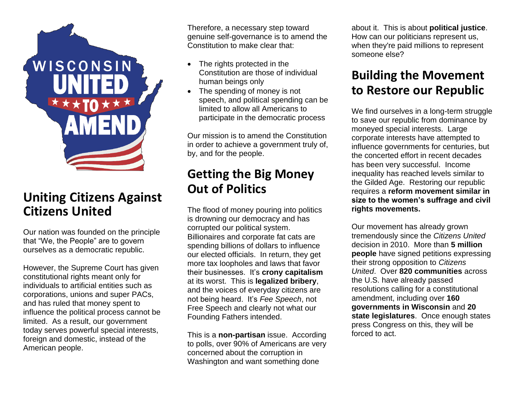

## **Uniting Citizens Against Citizens United**

Our nation was founded on the principle that "We, the People" are to govern ourselves as a democratic republic.

However, the Supreme Court has given constitutional rights meant only for individuals to artificial entities such as corporations, unions and super PACs, and has ruled that money spent to influence the political process cannot be limited. As a result, our government today serves powerful special interests, foreign and domestic, instead of the American people.

Therefore, a necessary step toward genuine self-governance is to amend the Constitution to make clear that:

- The rights protected in the Constitution are those of individual human beings only
- The spending of money is not speech, and political spending can be limited to allow all Americans to participate in the democratic process

Our mission is to amend the Constitution in order to achieve a government truly of, by, and for the people.

# **Getting the Big Money Out of Politics**

The flood of money pouring into politics is drowning our democracy and has corrupted our political system. Billionaires and corporate fat cats are spending billions of dollars to influence our elected officials. In return, they get more tax loopholes and laws that favor their businesses. It's **crony capitalism** at its worst. This is **legalized bribery**, and the voices of everyday citizens are not being heard. It's *Fee Speech*, not Free Speech and clearly not what our Founding Fathers intended.

This is a **non-partisan** issue. According to polls, over 90% of Americans are very concerned about the corruption in Washington and want something done

about it. This is about **political justice**. How can our politicians represent us, when they're paid millions to represent someone else?

# **Building the Movement to Restore our Republic**

We find ourselves in a long-term struggle to save our republic from dominance by moneyed special interests. Large corporate interests have attempted to influence governments for centuries, but the concerted effort in recent decades has been very successful. Income inequality has reached levels similar to the Gilded Age. Restoring our republic requires a **reform movement similar in size to the women's suffrage and civil rights movements.**

Our movement has already grown tremendously since the *Citizens United* decision in 2010. More than **5 million people** have signed petitions expressing their strong opposition to *Citizens United*. Over **820 communities** across the U.S. have already passed resolutions calling for a constitutional amendment, including over **160 governments in Wisconsin** and **20 state legislatures**. Once enough states press Congress on this, they will be forced to act.